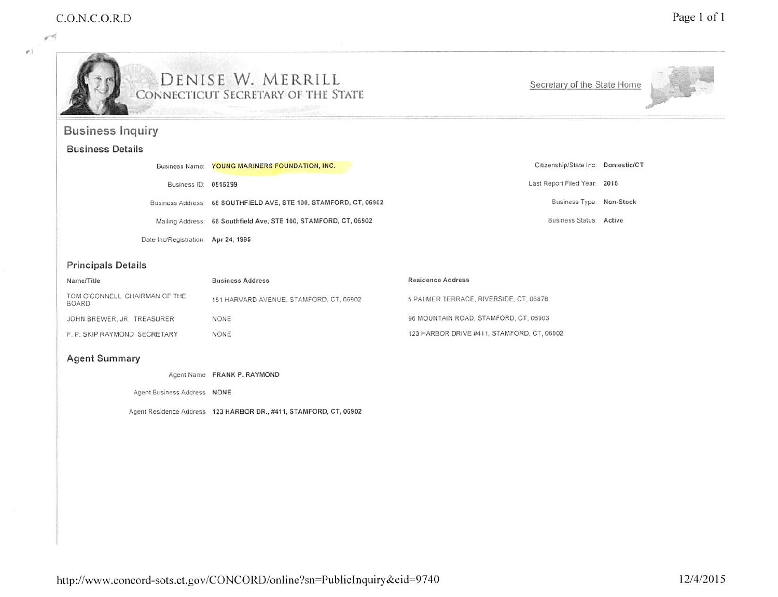¥5

 $\sigma$  )



# e DEMISE W. MERRILL CONNECTICUT SECRETARY OF THE STATE

Secretary of the State Home



# Business Inquiry

## Business Details

|                                     | Business Name: YOUNG MARINERS FOUNDATION, INC.                    | Citizenship/State Inc: Domestic/CT |  |
|-------------------------------------|-------------------------------------------------------------------|------------------------------------|--|
| Business ID: 0515299                |                                                                   | Last Report Filed Year: 2015       |  |
|                                     | Business Address: 68 SOUTHFIELD AVE, STE 100, STAMFORD, CT, 06902 | Business Type: Non-Stock           |  |
|                                     | Mailing Address: 68 Southfield Ave, STE 100, STAMFORD, CT, 06902  | Business Status: Active            |  |
| Date Inc/Registration: Apr 24, 1995 |                                                                   |                                    |  |

## Principals Details

| Name/Title                                    | <b>Business Address</b>                 | <b>Residence Address</b>                   |
|-----------------------------------------------|-----------------------------------------|--------------------------------------------|
| TOM O'CONNELL CHAIRMAN OF THE<br><b>BOARD</b> | 151 HARVARD AVENUE, STAMFORD, CT, 06902 | 5 PALMER TERRACE, RIVERSIDE, CT, 06878     |
| JOHN BREWER, JR. TREASURER                    | NONE                                    | 96 MOUNTAIN ROAD, STAMFORD, CT, 06903      |
| F. P. SKIP RAYMOND SECRETARY                  | <b>NONE</b>                             | 123 HARBOR DRIVE #411, STAMFORD, CT, 06902 |

#### Agent Summary

Agent Name FRANK P. RAYMOND

Agent Business Address NONE

Agent Residence Address 123 HARBOR DR.. #411. STAMFORD. CT, 06902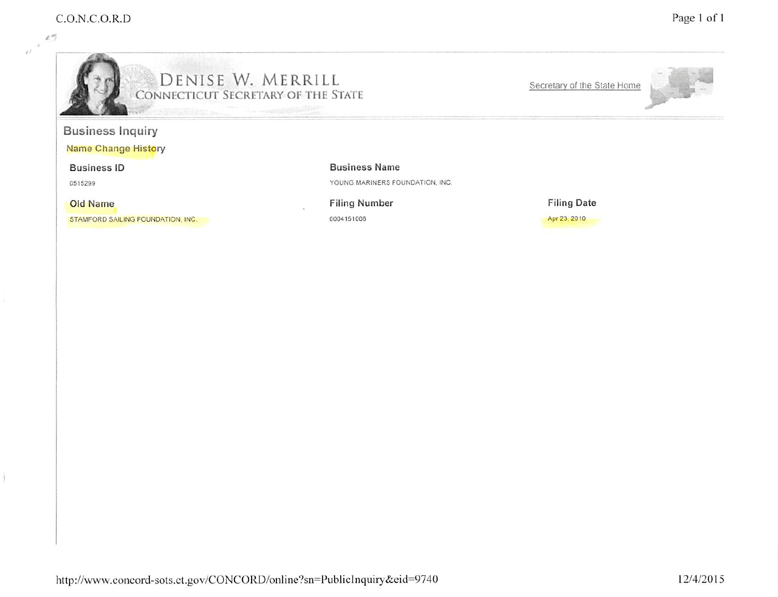15  $\rightarrow$  $\ell^j$ 

ł



# f DENISE W. MERRILL CoNNtcncuT Secretary of the State

Secretary of the State Home



# Business Inquiry

Name Change History

Business tD

0515299

Old Name

STAMFORD SAILING FOUNDATION. INC.

Business Name

YOUNG MARINERS FOUNDATION, INC.

Filing Number 0004151006

Filing Date Apr 23, 2010

http://www.concord-sots.ct.gov/CONCORD/online?sn=PublicInquiry&eid=9740 12/4/2015